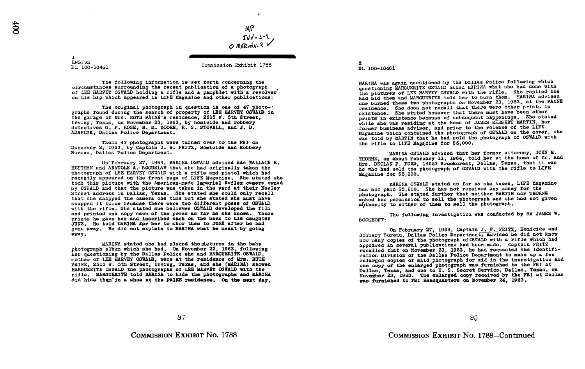٠

1 RPG : vm . DL 100-10461

Commission Exhibit 1788

The following information is set forth concerning the circumstances surrounding the recent publication of a photograph of LEE HARVEY OSWALD holding a rifle and a pamphlet with a revolver on his hip which appeared in LIFE Magazine An4 other publications :

The original photograph in question is one of 47 photo- $\cdot$ graphs found during the search of property of LEE HARVEY OSWALD in the garage of Mrs . RUTH PAINE's residence, 2515 W . 5th Street, Irving, Texas, on November 23, 1963, by homicide and robbery detectives G. F. ROSE, H. M. MOORE, R. S. STOVALL, and J. D. ADAMCIK, Dallas Police Department .

These 47 photographs were turned over to the FBI on December 2, 1963, by Captain J. W. FRITZ, Homicide and Robbery Bureau, Dallas Police Department .

On'February 27, 1964, MARINA OSWALD advised SAs WALLACE R. HEITMAN and ANATOLE A BOGUSLAV that she had originally taken the photograph of LEE HARVEY OS17ALD with a rifle and pistol which had recently appeared on the front page of LIFE Magazine. She stated she took this picture with the American-made Imperial Reflex camera owned took this picture with the American-made Imperial Reflex camera owned<br>by OSNALD and that the picture was taken in the yard at their Neeley<br>Strand at the yard at the Share was the stated character at the magnit Street address in Dallas, Texas. She stated she could only recall that she snapped the camera one time but she stated she must have snapped it twice because there were two different poses of OSWALD with the rifle. She stated she believes OSWALD developed the film and printed one copy each of the poses as far as she knows. These prints he gave her and inscribed each on the back to his daughter prints he gave her and inscribed each on the back to his daughter<br>JUNE. He told MARINA for her to show them to JUNE after he had gone away . He did not explain to MARINA what he meant by going away .

MARINA stated she had placed the mictures in the baby photograph album which she had . On November 22, 1963, following her questioning by the Dallas Police she and MARGUERITE OSWALD, mother of LEE HARVEY OSWALD, were at the residence of Mrs . RUTH PAINE, 2515 W. 5th Street, Irving, Texas, and she (MARINA) showed MARGUERITE OSWALD the photographs of LEE HARVEY OSWALD with the rifle . MARGUERITE told MARINA to hide the photographs and MARINA did hide them in a shoe at the PAINE residence. On the next day,

2 DL 100-10461

MARINA was again questioned by the Dallas Police following which questioning MARGUERITE OSWALD asked MARINA what she had done with the pictures of LEE HARVEY OSWALD with the rifle. She replied she had hid them and MARGUERITE told her to burn them. MARINA advised she burned these two photographs on November 23, 1963, at the PAINE residence. She does not recall that there were other prints in existence. She stated however that there must have been other prints in existence because of subsequent happenings. She stated while she was residing at the home of JAMES HERBERT MARTIN, her former business advisor, and prior to the release of the LIFE Magazine which contained the photograph of OSWALD on the cover, she was told by MARTIN that he had sold the photograph of OSWALD with the rifle to LIFE Magazine for \$5,000.

MARINA OSWALD, advised that her former attorney, JOHN M . THORNE, on about February 11, 1964, told her at the home of Mr. and Mrs. DECLAN P. FORD, 14057 Brookcrest, Dallas, Texas, that it was he who had sold the photograph of OSWALD with the rifle to LIFE Magazine for \$5,000 .

MARINA OSWALD stated as far as she knows, LIFE Magazine has not paid \$5,000. She has not received any money for the photograph. She stated further that neither MARTIN nor THORNE asked bar permission to sell the photograph and she had not given authority to either of them to sell the photograph.

BOOKHOUT : The following investigation was conducted by SA JAMES W.

On February 27, 1964, Captain J. W. FRITZ, Homicide and<br>Robbery Bureau, Dallas Police Department, advised he did not know<br>here the middle not the did not be did not be how many copies of the photograph of CSWAID with a rifle which had appeared in several publications had been made. Captain FRITZ recalled that on November 23, 1963, he had requested the Identification Division of the Dallas Police Department to make up a few enlarged copies of said photograph for aid in the investigation and enlarged copies of said photograph for aid in the investigation and<br>one copy of the enlarged photograph was furnished to the FBI at Dallas, Texas, and one to U. S. Secret Service, Dallas, Texas, on November 23, 1963. The enlarged copy received by the FBI at Dallas was furnished to FBI Headquarters on November 24, 1963.

66